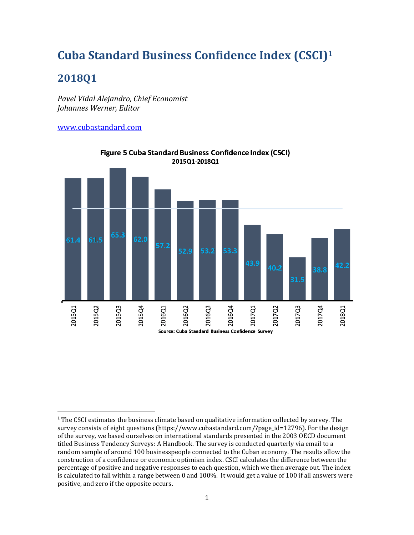## **Cuba Standard Business Confidence Index (CSCI)<sup>1</sup>**

## **2018Q1**

 $\overline{a}$ 

*Pavel Vidal Alejandro, Chief Economist Johannes Werner, Editor*

[www.cubastandard.com](http://www.cubastandard.com/)



**Figure 5 Cuba Standard Business Confidence Index (CSCI)** 2015Q1-2018Q1

<sup>&</sup>lt;sup>1</sup> The CSCI estimates the business climate based on qualitative information collected by survey. The survey consists of eight questions (https://www.cubastandard.com/?page\_id=12796). For the design of the survey, we based ourselves on international standards presented in the 2003 OECD document titled Business Tendency Surveys: A Handbook. The survey is conducted quarterly via email to a random sample of around 100 businesspeople connected to the Cuban economy. The results allow the construction of a confidence or economic optimism index. CSCI calculates the difference between the percentage of positive and negative responses to each question, which we then average out. The index is calculated to fall within a range between 0 and 100%. It would get a value of 100 if all answers were positive, and zero if the opposite occurs.